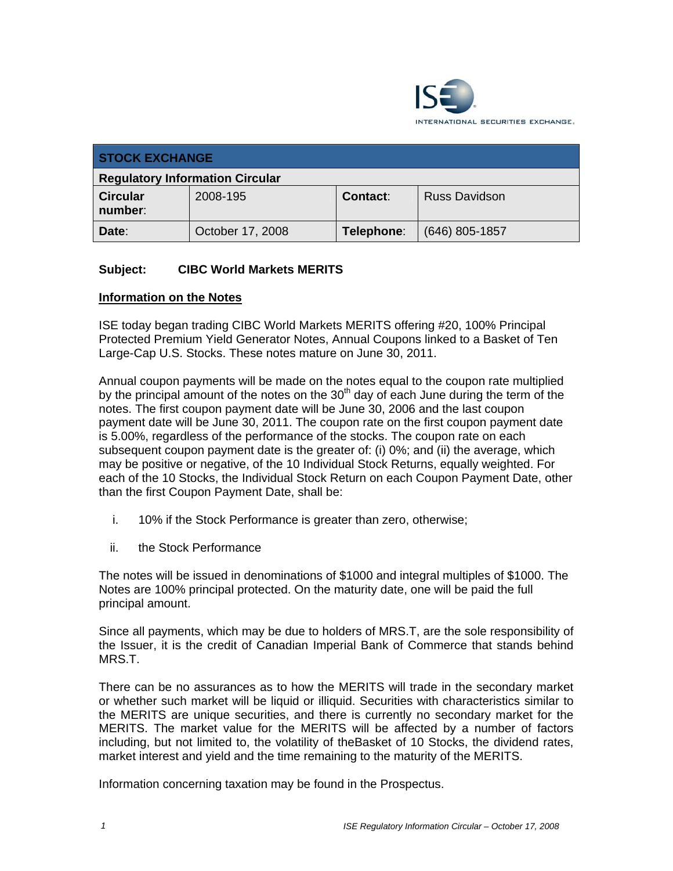

| <b>STOCK EXCHANGE</b>                  |                  |                 |                      |
|----------------------------------------|------------------|-----------------|----------------------|
| <b>Regulatory Information Circular</b> |                  |                 |                      |
| <b>Circular</b><br>number:             | 2008-195         | <b>Contact:</b> | <b>Russ Davidson</b> |
| Date:                                  | October 17, 2008 | Telephone:      | $(646)$ 805-1857     |

## **Subject: CIBC World Markets MERITS**

### **Information on the Notes**

ISE today began trading CIBC World Markets MERITS offering #20, 100% Principal Protected Premium Yield Generator Notes, Annual Coupons linked to a Basket of Ten Large-Cap U.S. Stocks. These notes mature on June 30, 2011.

Annual coupon payments will be made on the notes equal to the coupon rate multiplied by the principal amount of the notes on the  $30<sup>th</sup>$  day of each June during the term of the notes. The first coupon payment date will be June 30, 2006 and the last coupon payment date will be June 30, 2011. The coupon rate on the first coupon payment date is 5.00%, regardless of the performance of the stocks. The coupon rate on each subsequent coupon payment date is the greater of: (i) 0%; and (ii) the average, which may be positive or negative, of the 10 Individual Stock Returns, equally weighted. For each of the 10 Stocks, the Individual Stock Return on each Coupon Payment Date, other than the first Coupon Payment Date, shall be:

- i. 10% if the Stock Performance is greater than zero, otherwise;
- ii. the Stock Performance

The notes will be issued in denominations of \$1000 and integral multiples of \$1000. The Notes are 100% principal protected. On the maturity date, one will be paid the full principal amount.

Since all payments, which may be due to holders of MRS.T, are the sole responsibility of the Issuer, it is the credit of Canadian Imperial Bank of Commerce that stands behind MRS.T.

There can be no assurances as to how the MERITS will trade in the secondary market or whether such market will be liquid or illiquid. Securities with characteristics similar to the MERITS are unique securities, and there is currently no secondary market for the MERITS. The market value for the MERITS will be affected by a number of factors including, but not limited to, the volatility of theBasket of 10 Stocks, the dividend rates, market interest and yield and the time remaining to the maturity of the MERITS.

Information concerning taxation may be found in the Prospectus.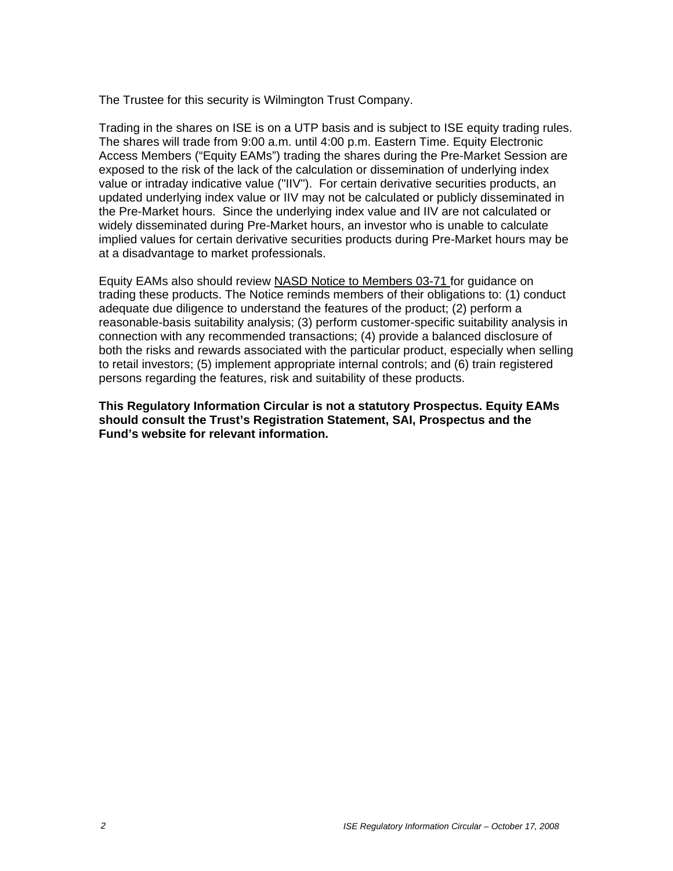The Trustee for this security is Wilmington Trust Company.

Trading in the shares on ISE is on a UTP basis and is subject to ISE equity trading rules. The shares will trade from 9:00 a.m. until 4:00 p.m. Eastern Time. Equity Electronic Access Members ("Equity EAMs") trading the shares during the Pre-Market Session are exposed to the risk of the lack of the calculation or dissemination of underlying index value or intraday indicative value ("IIV"). For certain derivative securities products, an updated underlying index value or IIV may not be calculated or publicly disseminated in the Pre-Market hours. Since the underlying index value and IIV are not calculated or widely disseminated during Pre-Market hours, an investor who is unable to calculate implied values for certain derivative securities products during Pre-Market hours may be at a disadvantage to market professionals.

Equity EAMs also should review NASD Notice to Members 03-71 for guidance on trading these products. The Notice reminds members of their obligations to: (1) conduct adequate due diligence to understand the features of the product; (2) perform a reasonable-basis suitability analysis; (3) perform customer-specific suitability analysis in connection with any recommended transactions; (4) provide a balanced disclosure of both the risks and rewards associated with the particular product, especially when selling to retail investors; (5) implement appropriate internal controls; and (6) train registered persons regarding the features, risk and suitability of these products.

**This Regulatory Information Circular is not a statutory Prospectus. Equity EAMs should consult the Trust's Registration Statement, SAI, Prospectus and the Fund's website for relevant information.**